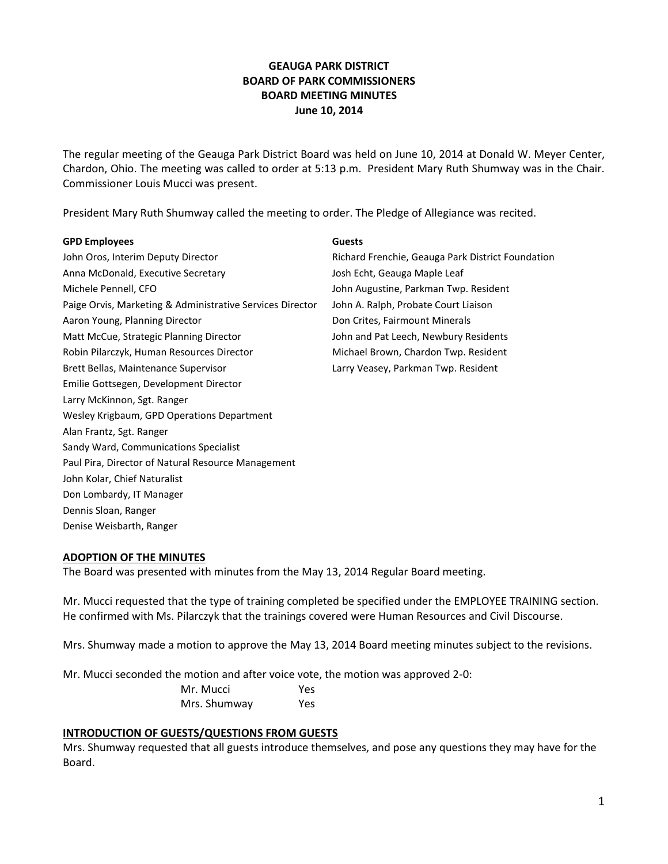# **GEAUGA PARK DISTRICT BOARD OF PARK COMMISSIONERS BOARD MEETING MINUTES June 10, 2014**

The regular meeting of the Geauga Park District Board was held on June 10, 2014 at Donald W. Meyer Center, Chardon, Ohio. The meeting was called to order at 5:13 p.m. President Mary Ruth Shumway was in the Chair. Commissioner Louis Mucci was present.

President Mary Ruth Shumway called the meeting to order. The Pledge of Allegiance was recited.

#### **GPD Employees Guests**

John Oros, Interim Deputy Director **Richard Frenchie, Geauga Park District Foundation** Anna McDonald, Executive Secretary Josh Echt, Geauga Maple Leaf Michele Pennell, CFO **John Augustine, Parkman Twp. Resident** Paige Orvis, Marketing & Administrative Services Director John A. Ralph, Probate Court Liaison Aaron Young, Planning Director **Don Crites, Fairmount Minerals** Matt McCue, Strategic Planning Director John and Pat Leech, Newbury Residents Robin Pilarczyk, Human Resources Director Michael Brown, Chardon Twp. Resident Brett Bellas, Maintenance Supervisor Larry Veasey, Parkman Twp. Resident Emilie Gottsegen, Development Director Larry McKinnon, Sgt. Ranger Wesley Krigbaum, GPD Operations Department Alan Frantz, Sgt. Ranger Sandy Ward, Communications Specialist Paul Pira, Director of Natural Resource Management John Kolar, Chief Naturalist Don Lombardy, IT Manager Dennis Sloan, Ranger Denise Weisbarth, Ranger

### **ADOPTION OF THE MINUTES**

The Board was presented with minutes from the May 13, 2014 Regular Board meeting.

Mr. Mucci requested that the type of training completed be specified under the EMPLOYEE TRAINING section. He confirmed with Ms. Pilarczyk that the trainings covered were Human Resources and Civil Discourse.

Mrs. Shumway made a motion to approve the May 13, 2014 Board meeting minutes subject to the revisions.

Mr. Mucci seconded the motion and after voice vote, the motion was approved 2-0:

Mr. Mucci Yes Mrs. Shumway Yes

### **INTRODUCTION OF GUESTS/QUESTIONS FROM GUESTS**

Mrs. Shumway requested that all guests introduce themselves, and pose any questions they may have for the Board.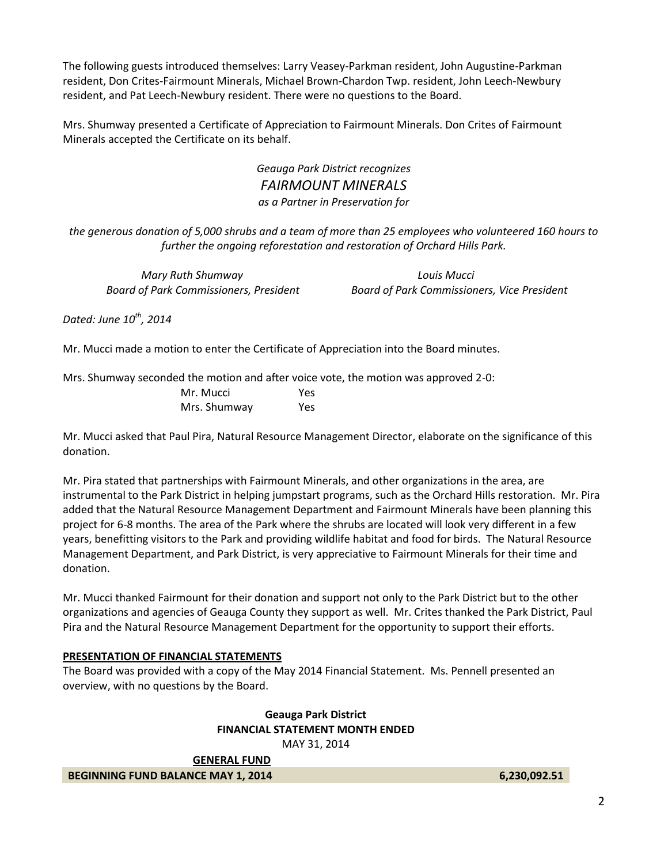The following guests introduced themselves: Larry Veasey-Parkman resident, John Augustine-Parkman resident, Don Crites-Fairmount Minerals, Michael Brown-Chardon Twp. resident, John Leech-Newbury resident, and Pat Leech-Newbury resident. There were no questions to the Board.

Mrs. Shumway presented a Certificate of Appreciation to Fairmount Minerals. Don Crites of Fairmount Minerals accepted the Certificate on its behalf.

> *Geauga Park District recognizes FAIRMOUNT MINERALS as a Partner in Preservation for*

*the generous donation of 5,000 shrubs and a team of more than 25 employees who volunteered 160 hours to further the ongoing reforestation and restoration of Orchard Hills Park.*

*Mary Ruth Shumway Louis Mucci*

 *Board of Park Commissioners, President Board of Park Commissioners, Vice President*

*Dated: June 10th, 2014*

Mr. Mucci made a motion to enter the Certificate of Appreciation into the Board minutes.

Mrs. Shumway seconded the motion and after voice vote, the motion was approved 2-0: Mr. Mucci Yes Mrs. Shumway Yes

Mr. Mucci asked that Paul Pira, Natural Resource Management Director, elaborate on the significance of this donation.

Mr. Pira stated that partnerships with Fairmount Minerals, and other organizations in the area, are instrumental to the Park District in helping jumpstart programs, such as the Orchard Hills restoration. Mr. Pira added that the Natural Resource Management Department and Fairmount Minerals have been planning this project for 6-8 months. The area of the Park where the shrubs are located will look very different in a few years, benefitting visitors to the Park and providing wildlife habitat and food for birds. The Natural Resource Management Department, and Park District, is very appreciative to Fairmount Minerals for their time and donation.

Mr. Mucci thanked Fairmount for their donation and support not only to the Park District but to the other organizations and agencies of Geauga County they support as well. Mr. Crites thanked the Park District, Paul Pira and the Natural Resource Management Department for the opportunity to support their efforts.

#### **PRESENTATION OF FINANCIAL STATEMENTS**

The Board was provided with a copy of the May 2014 Financial Statement. Ms. Pennell presented an overview, with no questions by the Board.

> **Geauga Park District FINANCIAL STATEMENT MONTH ENDED** MAY 31, 2014

**GENERAL FUND**

**BEGINNING FUND BALANCE MAY 1, 2014 6,230,092.51**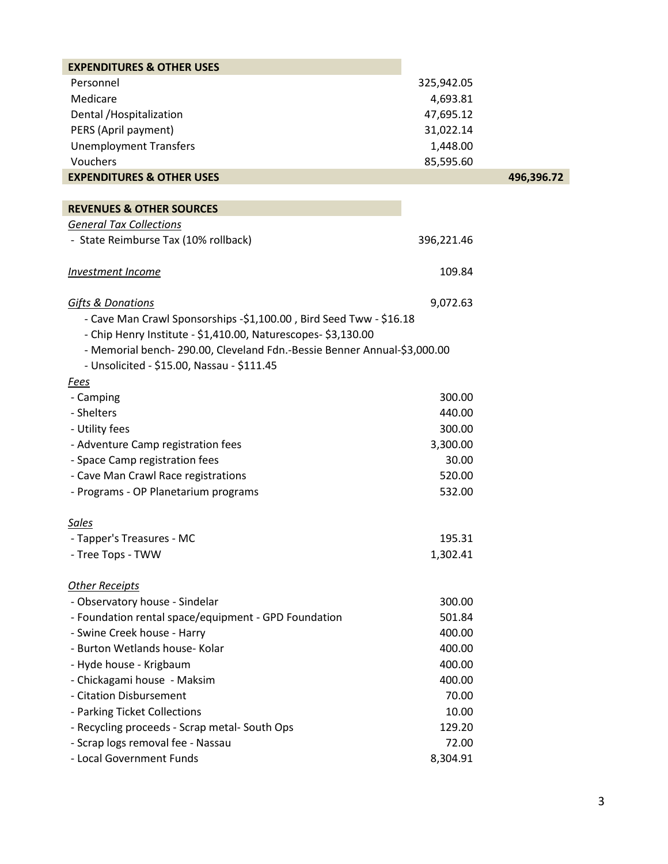| <b>EXPENDITURES &amp; OTHER USES</b>                                                                                                                                                                                                                          |            |            |
|---------------------------------------------------------------------------------------------------------------------------------------------------------------------------------------------------------------------------------------------------------------|------------|------------|
| Personnel                                                                                                                                                                                                                                                     | 325,942.05 |            |
| Medicare                                                                                                                                                                                                                                                      | 4,693.81   |            |
| Dental / Hospitalization                                                                                                                                                                                                                                      | 47,695.12  |            |
| PERS (April payment)                                                                                                                                                                                                                                          | 31,022.14  |            |
| <b>Unemployment Transfers</b>                                                                                                                                                                                                                                 | 1,448.00   |            |
| Vouchers                                                                                                                                                                                                                                                      | 85,595.60  |            |
| <b>EXPENDITURES &amp; OTHER USES</b>                                                                                                                                                                                                                          |            | 496,396.72 |
|                                                                                                                                                                                                                                                               |            |            |
| <b>REVENUES &amp; OTHER SOURCES</b>                                                                                                                                                                                                                           |            |            |
| <b>General Tax Collections</b>                                                                                                                                                                                                                                |            |            |
| - State Reimburse Tax (10% rollback)                                                                                                                                                                                                                          | 396,221.46 |            |
| <b>Investment Income</b>                                                                                                                                                                                                                                      | 109.84     |            |
| <b>Gifts &amp; Donations</b>                                                                                                                                                                                                                                  | 9,072.63   |            |
| - Cave Man Crawl Sponsorships -\$1,100.00, Bird Seed Tww - \$16.18<br>- Chip Henry Institute - \$1,410.00, Naturescopes- \$3,130.00<br>- Memorial bench- 290.00, Cleveland Fdn.-Bessie Benner Annual-\$3,000.00<br>- Unsolicited - \$15.00, Nassau - \$111.45 |            |            |
| <u>Fees</u>                                                                                                                                                                                                                                                   |            |            |
| - Camping                                                                                                                                                                                                                                                     | 300.00     |            |
| - Shelters                                                                                                                                                                                                                                                    | 440.00     |            |
| - Utility fees                                                                                                                                                                                                                                                | 300.00     |            |
| - Adventure Camp registration fees                                                                                                                                                                                                                            | 3,300.00   |            |
| - Space Camp registration fees                                                                                                                                                                                                                                | 30.00      |            |
| - Cave Man Crawl Race registrations                                                                                                                                                                                                                           | 520.00     |            |
| - Programs - OP Planetarium programs                                                                                                                                                                                                                          | 532.00     |            |
| <b>Sales</b>                                                                                                                                                                                                                                                  |            |            |
| - Tapper's Treasures - MC                                                                                                                                                                                                                                     | 195.31     |            |
| - Tree Tops - TWW                                                                                                                                                                                                                                             | 1,302.41   |            |
| <b>Other Receipts</b>                                                                                                                                                                                                                                         |            |            |
| - Observatory house - Sindelar                                                                                                                                                                                                                                | 300.00     |            |
| - Foundation rental space/equipment - GPD Foundation                                                                                                                                                                                                          | 501.84     |            |
| - Swine Creek house - Harry                                                                                                                                                                                                                                   | 400.00     |            |
| - Burton Wetlands house- Kolar                                                                                                                                                                                                                                | 400.00     |            |
| - Hyde house - Krigbaum                                                                                                                                                                                                                                       | 400.00     |            |
| - Chickagami house - Maksim                                                                                                                                                                                                                                   | 400.00     |            |
| - Citation Disbursement                                                                                                                                                                                                                                       | 70.00      |            |
| - Parking Ticket Collections                                                                                                                                                                                                                                  | 10.00      |            |
| - Recycling proceeds - Scrap metal- South Ops                                                                                                                                                                                                                 | 129.20     |            |
| - Scrap logs removal fee - Nassau                                                                                                                                                                                                                             | 72.00      |            |
| - Local Government Funds                                                                                                                                                                                                                                      | 8,304.91   |            |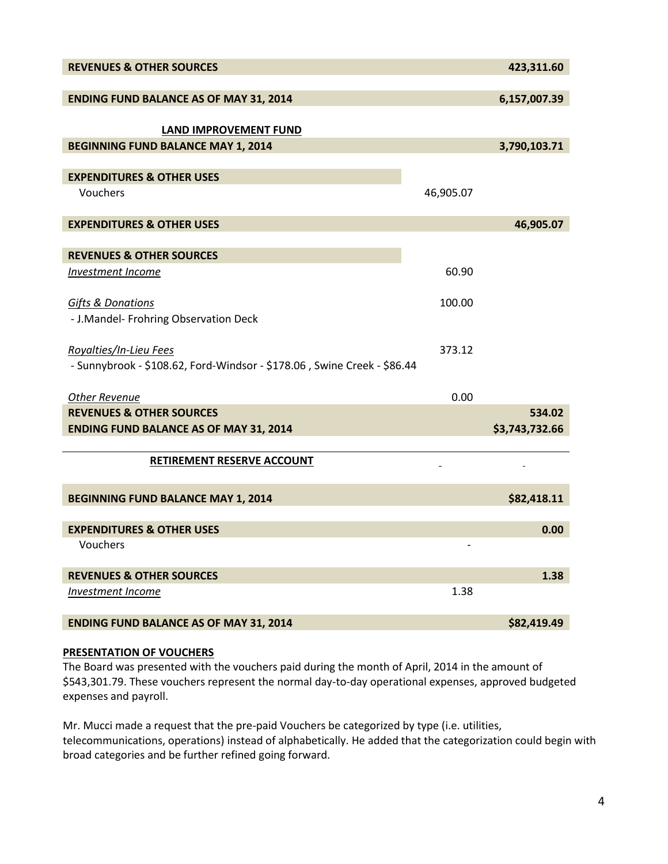| <b>REVENUES &amp; OTHER SOURCES</b>                                     |           | 423,311.60     |
|-------------------------------------------------------------------------|-----------|----------------|
|                                                                         |           |                |
| <b>ENDING FUND BALANCE AS OF MAY 31, 2014</b>                           |           | 6,157,007.39   |
| <b>LAND IMPROVEMENT FUND</b>                                            |           |                |
| <b>BEGINNING FUND BALANCE MAY 1, 2014</b>                               |           | 3,790,103.71   |
|                                                                         |           |                |
| <b>EXPENDITURES &amp; OTHER USES</b>                                    |           |                |
| Vouchers                                                                | 46,905.07 |                |
| <b>EXPENDITURES &amp; OTHER USES</b>                                    |           | 46,905.07      |
|                                                                         |           |                |
| <b>REVENUES &amp; OTHER SOURCES</b>                                     |           |                |
| <b>Investment Income</b>                                                | 60.90     |                |
|                                                                         |           |                |
| <b>Gifts &amp; Donations</b><br>- J.Mandel- Frohring Observation Deck   | 100.00    |                |
|                                                                         |           |                |
| Royalties/In-Lieu Fees                                                  | 373.12    |                |
| - Sunnybrook - \$108.62, Ford-Windsor - \$178.06, Swine Creek - \$86.44 |           |                |
|                                                                         |           |                |
| <b>Other Revenue</b>                                                    | 0.00      |                |
| <b>REVENUES &amp; OTHER SOURCES</b>                                     |           | 534.02         |
| <b>ENDING FUND BALANCE AS OF MAY 31, 2014</b>                           |           | \$3,743,732.66 |
| RETIREMENT RESERVE ACCOUNT                                              |           |                |
|                                                                         |           |                |
| <b>BEGINNING FUND BALANCE MAY 1, 2014</b>                               |           | \$82,418.11    |
|                                                                         |           |                |
| <b>EXPENDITURES &amp; OTHER USES</b>                                    |           | 0.00           |
| <b>Vouchers</b>                                                         |           |                |
| <b>REVENUES &amp; OTHER SOURCES</b>                                     |           | 1.38           |
| <b>Investment Income</b>                                                | 1.38      |                |
|                                                                         |           |                |
| <b>ENDING FUND BALANCE AS OF MAY 31, 2014</b>                           |           | \$82,419.49    |

### **PRESENTATION OF VOUCHERS**

The Board was presented with the vouchers paid during the month of April, 2014 in the amount of \$543,301.79. These vouchers represent the normal day-to-day operational expenses, approved budgeted expenses and payroll.

Mr. Mucci made a request that the pre-paid Vouchers be categorized by type (i.e. utilities, telecommunications, operations) instead of alphabetically. He added that the categorization could begin with broad categories and be further refined going forward.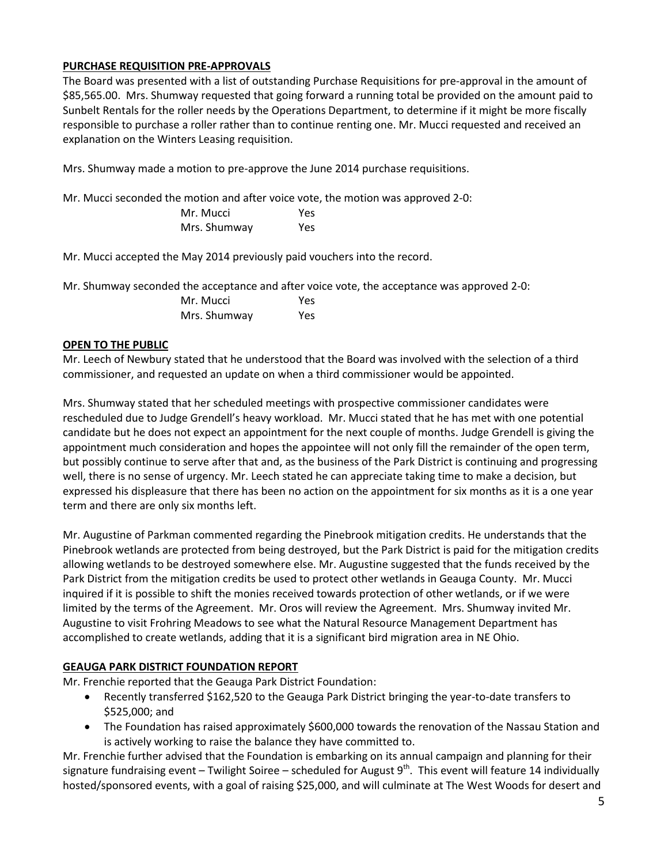# **PURCHASE REQUISITION PRE-APPROVALS**

The Board was presented with a list of outstanding Purchase Requisitions for pre-approval in the amount of \$85,565.00. Mrs. Shumway requested that going forward a running total be provided on the amount paid to Sunbelt Rentals for the roller needs by the Operations Department, to determine if it might be more fiscally responsible to purchase a roller rather than to continue renting one. Mr. Mucci requested and received an explanation on the Winters Leasing requisition.

Mrs. Shumway made a motion to pre-approve the June 2014 purchase requisitions.

Mr. Mucci seconded the motion and after voice vote, the motion was approved 2-0:

| Mr. Mucci    | Yes |
|--------------|-----|
| Mrs. Shumway | Yes |

Mr. Mucci accepted the May 2014 previously paid vouchers into the record.

Mr. Shumway seconded the acceptance and after voice vote, the acceptance was approved 2-0: Mr. Mucci Yes Mrs. Shumway Yes

## **OPEN TO THE PUBLIC**

Mr. Leech of Newbury stated that he understood that the Board was involved with the selection of a third commissioner, and requested an update on when a third commissioner would be appointed.

Mrs. Shumway stated that her scheduled meetings with prospective commissioner candidates were rescheduled due to Judge Grendell's heavy workload. Mr. Mucci stated that he has met with one potential candidate but he does not expect an appointment for the next couple of months. Judge Grendell is giving the appointment much consideration and hopes the appointee will not only fill the remainder of the open term, but possibly continue to serve after that and, as the business of the Park District is continuing and progressing well, there is no sense of urgency. Mr. Leech stated he can appreciate taking time to make a decision, but expressed his displeasure that there has been no action on the appointment for six months as it is a one year term and there are only six months left.

Mr. Augustine of Parkman commented regarding the Pinebrook mitigation credits. He understands that the Pinebrook wetlands are protected from being destroyed, but the Park District is paid for the mitigation credits allowing wetlands to be destroyed somewhere else. Mr. Augustine suggested that the funds received by the Park District from the mitigation credits be used to protect other wetlands in Geauga County. Mr. Mucci inquired if it is possible to shift the monies received towards protection of other wetlands, or if we were limited by the terms of the Agreement. Mr. Oros will review the Agreement. Mrs. Shumway invited Mr. Augustine to visit Frohring Meadows to see what the Natural Resource Management Department has accomplished to create wetlands, adding that it is a significant bird migration area in NE Ohio.

# **GEAUGA PARK DISTRICT FOUNDATION REPORT**

Mr. Frenchie reported that the Geauga Park District Foundation:

- Recently transferred \$162,520 to the Geauga Park District bringing the year-to-date transfers to \$525,000; and
- The Foundation has raised approximately \$600,000 towards the renovation of the Nassau Station and is actively working to raise the balance they have committed to.

Mr. Frenchie further advised that the Foundation is embarking on its annual campaign and planning for their signature fundraising event – Twilight Soiree – scheduled for August  $9^{th}$ . This event will feature 14 individually hosted/sponsored events, with a goal of raising \$25,000, and will culminate at The West Woods for desert and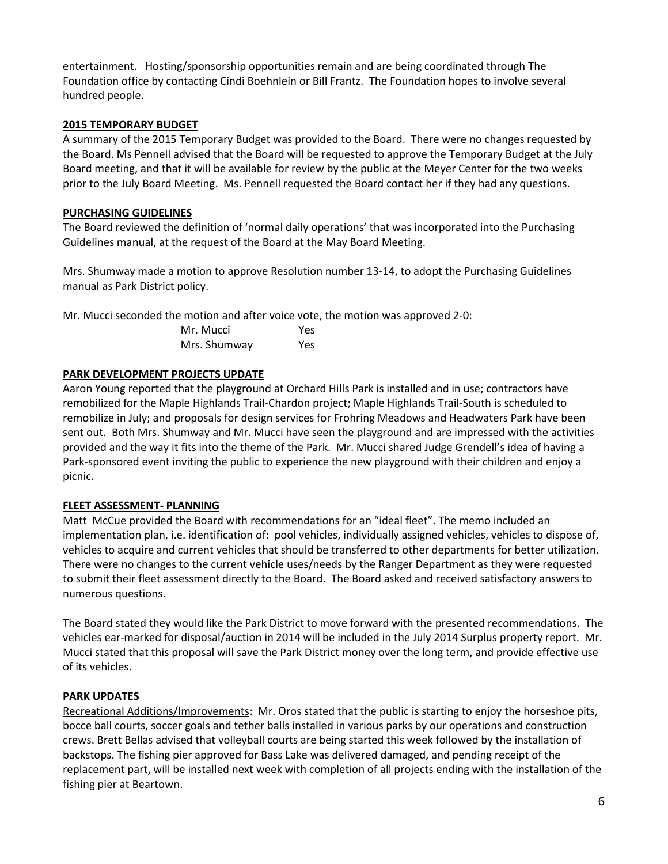entertainment. Hosting/sponsorship opportunities remain and are being coordinated through The Foundation office by contacting Cindi Boehnlein or Bill Frantz. The Foundation hopes to involve several hundred people.

## **2015 TEMPORARY BUDGET**

A summary of the 2015 Temporary Budget was provided to the Board. There were no changes requested by the Board. Ms Pennell advised that the Board will be requested to approve the Temporary Budget at the July Board meeting, and that it will be available for review by the public at the Meyer Center for the two weeks prior to the July Board Meeting. Ms. Pennell requested the Board contact her if they had any questions.

## **PURCHASING GUIDELINES**

The Board reviewed the definition of 'normal daily operations' that was incorporated into the Purchasing Guidelines manual, at the request of the Board at the May Board Meeting.

Mrs. Shumway made a motion to approve Resolution number 13-14, to adopt the Purchasing Guidelines manual as Park District policy.

Mr. Mucci seconded the motion and after voice vote, the motion was approved 2-0:

| Mr. Mucci    | Yes |
|--------------|-----|
| Mrs. Shumway | Yes |

## **PARK DEVELOPMENT PROJECTS UPDATE**

Aaron Young reported that the playground at Orchard Hills Park is installed and in use; contractors have remobilized for the Maple Highlands Trail-Chardon project; Maple Highlands Trail-South is scheduled to remobilize in July; and proposals for design services for Frohring Meadows and Headwaters Park have been sent out. Both Mrs. Shumway and Mr. Mucci have seen the playground and are impressed with the activities provided and the way it fits into the theme of the Park. Mr. Mucci shared Judge Grendell's idea of having a Park-sponsored event inviting the public to experience the new playground with their children and enjoy a picnic.

### **FLEET ASSESSMENT- PLANNING**

Matt McCue provided the Board with recommendations for an "ideal fleet". The memo included an implementation plan, i.e. identification of: pool vehicles, individually assigned vehicles, vehicles to dispose of, vehicles to acquire and current vehicles that should be transferred to other departments for better utilization. There were no changes to the current vehicle uses/needs by the Ranger Department as they were requested to submit their fleet assessment directly to the Board. The Board asked and received satisfactory answers to numerous questions.

The Board stated they would like the Park District to move forward with the presented recommendations. The vehicles ear-marked for disposal/auction in 2014 will be included in the July 2014 Surplus property report. Mr. Mucci stated that this proposal will save the Park District money over the long term, and provide effective use of its vehicles.

### **PARK UPDATES**

Recreational Additions/Improvements: Mr. Oros stated that the public is starting to enjoy the horseshoe pits, bocce ball courts, soccer goals and tether balls installed in various parks by our operations and construction crews. Brett Bellas advised that volleyball courts are being started this week followed by the installation of backstops. The fishing pier approved for Bass Lake was delivered damaged, and pending receipt of the replacement part, will be installed next week with completion of all projects ending with the installation of the fishing pier at Beartown.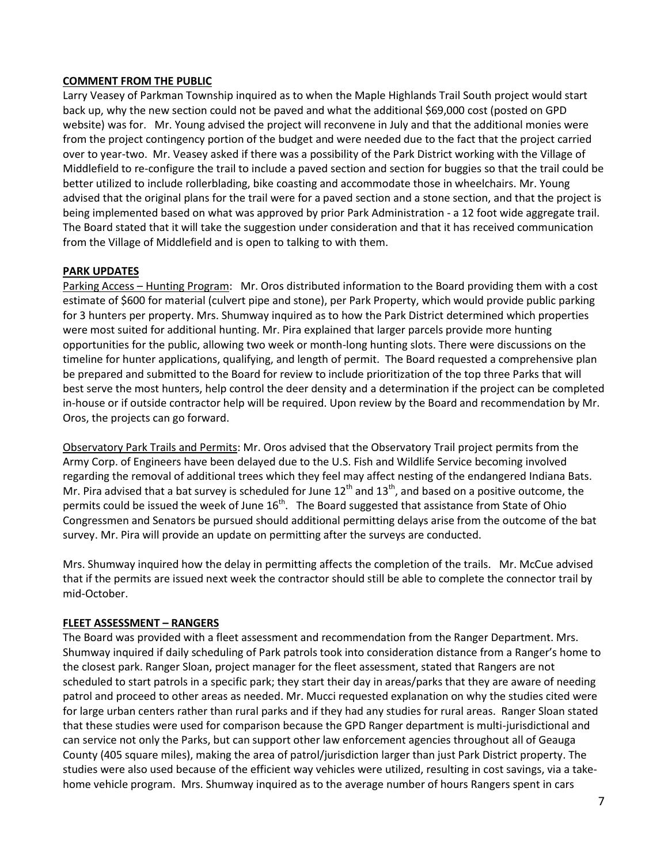## **COMMENT FROM THE PUBLIC**

Larry Veasey of Parkman Township inquired as to when the Maple Highlands Trail South project would start back up, why the new section could not be paved and what the additional \$69,000 cost (posted on GPD website) was for. Mr. Young advised the project will reconvene in July and that the additional monies were from the project contingency portion of the budget and were needed due to the fact that the project carried over to year-two. Mr. Veasey asked if there was a possibility of the Park District working with the Village of Middlefield to re-configure the trail to include a paved section and section for buggies so that the trail could be better utilized to include rollerblading, bike coasting and accommodate those in wheelchairs. Mr. Young advised that the original plans for the trail were for a paved section and a stone section, and that the project is being implemented based on what was approved by prior Park Administration - a 12 foot wide aggregate trail. The Board stated that it will take the suggestion under consideration and that it has received communication from the Village of Middlefield and is open to talking to with them.

## **PARK UPDATES**

Parking Access – Hunting Program: Mr. Oros distributed information to the Board providing them with a cost estimate of \$600 for material (culvert pipe and stone), per Park Property, which would provide public parking for 3 hunters per property. Mrs. Shumway inquired as to how the Park District determined which properties were most suited for additional hunting. Mr. Pira explained that larger parcels provide more hunting opportunities for the public, allowing two week or month-long hunting slots. There were discussions on the timeline for hunter applications, qualifying, and length of permit. The Board requested a comprehensive plan be prepared and submitted to the Board for review to include prioritization of the top three Parks that will best serve the most hunters, help control the deer density and a determination if the project can be completed in-house or if outside contractor help will be required. Upon review by the Board and recommendation by Mr. Oros, the projects can go forward.

Observatory Park Trails and Permits: Mr. Oros advised that the Observatory Trail project permits from the Army Corp. of Engineers have been delayed due to the U.S. Fish and Wildlife Service becoming involved regarding the removal of additional trees which they feel may affect nesting of the endangered Indiana Bats. Mr. Pira advised that a bat survey is scheduled for June  $12^{th}$  and  $13^{th}$ , and based on a positive outcome, the permits could be issued the week of June  $16<sup>th</sup>$ . The Board suggested that assistance from State of Ohio Congressmen and Senators be pursued should additional permitting delays arise from the outcome of the bat survey. Mr. Pira will provide an update on permitting after the surveys are conducted.

Mrs. Shumway inquired how the delay in permitting affects the completion of the trails. Mr. McCue advised that if the permits are issued next week the contractor should still be able to complete the connector trail by mid-October.

# **FLEET ASSESSMENT – RANGERS**

The Board was provided with a fleet assessment and recommendation from the Ranger Department. Mrs. Shumway inquired if daily scheduling of Park patrols took into consideration distance from a Ranger's home to the closest park. Ranger Sloan, project manager for the fleet assessment, stated that Rangers are not scheduled to start patrols in a specific park; they start their day in areas/parks that they are aware of needing patrol and proceed to other areas as needed. Mr. Mucci requested explanation on why the studies cited were for large urban centers rather than rural parks and if they had any studies for rural areas. Ranger Sloan stated that these studies were used for comparison because the GPD Ranger department is multi-jurisdictional and can service not only the Parks, but can support other law enforcement agencies throughout all of Geauga County (405 square miles), making the area of patrol/jurisdiction larger than just Park District property. The studies were also used because of the efficient way vehicles were utilized, resulting in cost savings, via a takehome vehicle program. Mrs. Shumway inquired as to the average number of hours Rangers spent in cars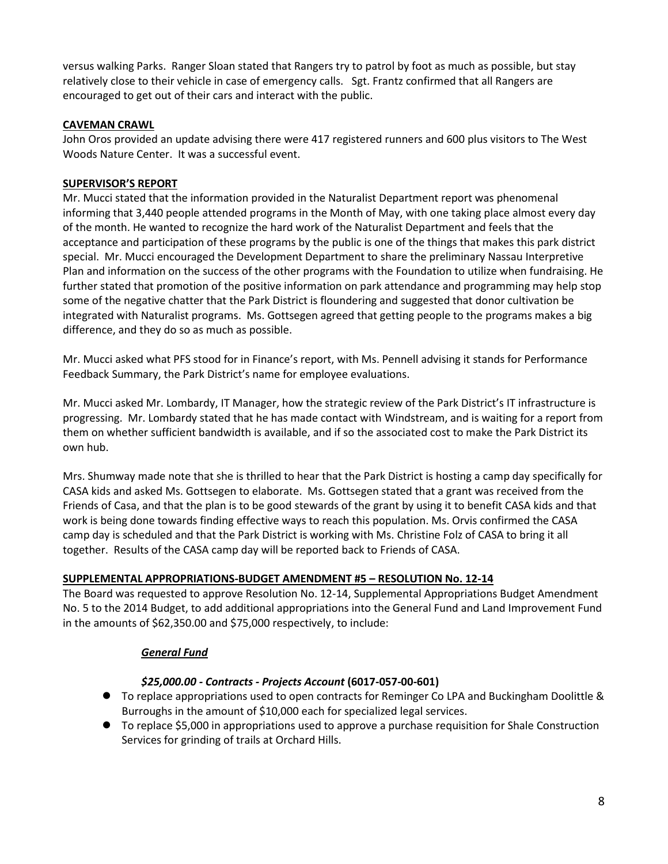versus walking Parks. Ranger Sloan stated that Rangers try to patrol by foot as much as possible, but stay relatively close to their vehicle in case of emergency calls. Sgt. Frantz confirmed that all Rangers are encouraged to get out of their cars and interact with the public.

# **CAVEMAN CRAWL**

John Oros provided an update advising there were 417 registered runners and 600 plus visitors to The West Woods Nature Center. It was a successful event.

# **SUPERVISOR'S REPORT**

Mr. Mucci stated that the information provided in the Naturalist Department report was phenomenal informing that 3,440 people attended programs in the Month of May, with one taking place almost every day of the month. He wanted to recognize the hard work of the Naturalist Department and feels that the acceptance and participation of these programs by the public is one of the things that makes this park district special. Mr. Mucci encouraged the Development Department to share the preliminary Nassau Interpretive Plan and information on the success of the other programs with the Foundation to utilize when fundraising. He further stated that promotion of the positive information on park attendance and programming may help stop some of the negative chatter that the Park District is floundering and suggested that donor cultivation be integrated with Naturalist programs. Ms. Gottsegen agreed that getting people to the programs makes a big difference, and they do so as much as possible.

Mr. Mucci asked what PFS stood for in Finance's report, with Ms. Pennell advising it stands for Performance Feedback Summary, the Park District's name for employee evaluations.

Mr. Mucci asked Mr. Lombardy, IT Manager, how the strategic review of the Park District's IT infrastructure is progressing. Mr. Lombardy stated that he has made contact with Windstream, and is waiting for a report from them on whether sufficient bandwidth is available, and if so the associated cost to make the Park District its own hub.

Mrs. Shumway made note that she is thrilled to hear that the Park District is hosting a camp day specifically for CASA kids and asked Ms. Gottsegen to elaborate. Ms. Gottsegen stated that a grant was received from the Friends of Casa, and that the plan is to be good stewards of the grant by using it to benefit CASA kids and that work is being done towards finding effective ways to reach this population. Ms. Orvis confirmed the CASA camp day is scheduled and that the Park District is working with Ms. Christine Folz of CASA to bring it all together. Results of the CASA camp day will be reported back to Friends of CASA.

# **SUPPLEMENTAL APPROPRIATIONS-BUDGET AMENDMENT #5 – RESOLUTION No. 12-14**

The Board was requested to approve Resolution No. 12-14, Supplemental Appropriations Budget Amendment No. 5 to the 2014 Budget, to add additional appropriations into the General Fund and Land Improvement Fund in the amounts of \$62,350.00 and \$75,000 respectively, to include:

# *General Fund*

# *\$25,000.00 - Contracts - Projects Account* **(6017-057-00-601)**

- To replace appropriations used to open contracts for Reminger Co LPA and Buckingham Doolittle & Burroughs in the amount of \$10,000 each for specialized legal services.
- To replace \$5,000 in appropriations used to approve a purchase requisition for Shale Construction Services for grinding of trails at Orchard Hills.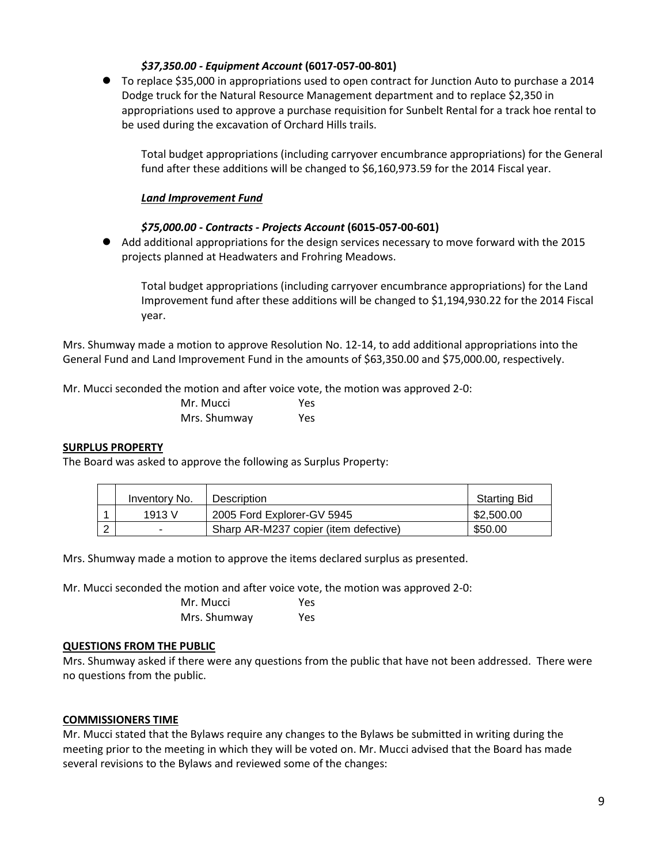# *\$37,350.00 - Equipment Account* **(6017-057-00-801)**

 To replace \$35,000 in appropriations used to open contract for Junction Auto to purchase a 2014 Dodge truck for the Natural Resource Management department and to replace \$2,350 in appropriations used to approve a purchase requisition for Sunbelt Rental for a track hoe rental to be used during the excavation of Orchard Hills trails.

Total budget appropriations (including carryover encumbrance appropriations) for the General fund after these additions will be changed to \$6,160,973.59 for the 2014 Fiscal year.

## *Land Improvement Fund*

## *\$75,000.00 - Contracts - Projects Account* **(6015-057-00-601)**

Add additional appropriations for the design services necessary to move forward with the 2015 projects planned at Headwaters and Frohring Meadows.

Total budget appropriations (including carryover encumbrance appropriations) for the Land Improvement fund after these additions will be changed to \$1,194,930.22 for the 2014 Fiscal year.

Mrs. Shumway made a motion to approve Resolution No. 12-14, to add additional appropriations into the General Fund and Land Improvement Fund in the amounts of \$63,350.00 and \$75,000.00, respectively.

Mr. Mucci seconded the motion and after voice vote, the motion was approved 2-0:

| Mr. Mucci    | Yes |
|--------------|-----|
| Mrs. Shumway | Yes |

### **SURPLUS PROPERTY**

The Board was asked to approve the following as Surplus Property:

| Inventory No. | <b>Description</b>                    | Starting Bid |
|---------------|---------------------------------------|--------------|
| 1913 V        | 2005 Ford Explorer-GV 5945            | \$2,500.00   |
| -             | Sharp AR-M237 copier (item defective) | \$50.00      |

Mrs. Shumway made a motion to approve the items declared surplus as presented.

Mr. Mucci seconded the motion and after voice vote, the motion was approved 2-0:

| Mr. Mucci    | Yes |
|--------------|-----|
| Mrs. Shumway | Yes |

### **QUESTIONS FROM THE PUBLIC**

Mrs. Shumway asked if there were any questions from the public that have not been addressed. There were no questions from the public.

# **COMMISSIONERS TIME**

Mr. Mucci stated that the Bylaws require any changes to the Bylaws be submitted in writing during the meeting prior to the meeting in which they will be voted on. Mr. Mucci advised that the Board has made several revisions to the Bylaws and reviewed some of the changes: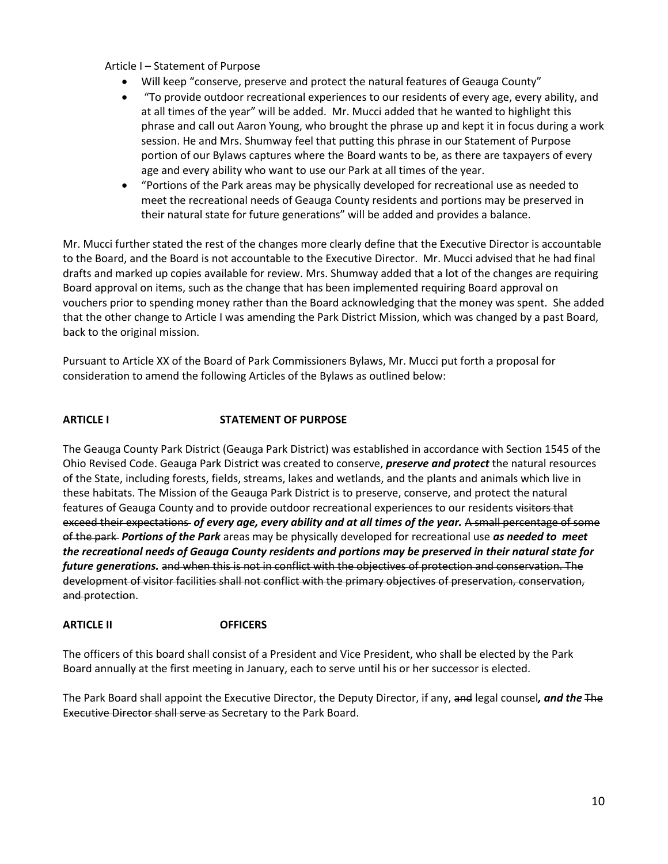Article I – Statement of Purpose

- Will keep "conserve, preserve and protect the natural features of Geauga County"
- "To provide outdoor recreational experiences to our residents of every age, every ability, and at all times of the year" will be added. Mr. Mucci added that he wanted to highlight this phrase and call out Aaron Young, who brought the phrase up and kept it in focus during a work session. He and Mrs. Shumway feel that putting this phrase in our Statement of Purpose portion of our Bylaws captures where the Board wants to be, as there are taxpayers of every age and every ability who want to use our Park at all times of the year.
- "Portions of the Park areas may be physically developed for recreational use as needed to meet the recreational needs of Geauga County residents and portions may be preserved in their natural state for future generations" will be added and provides a balance.

Mr. Mucci further stated the rest of the changes more clearly define that the Executive Director is accountable to the Board, and the Board is not accountable to the Executive Director. Mr. Mucci advised that he had final drafts and marked up copies available for review. Mrs. Shumway added that a lot of the changes are requiring Board approval on items, such as the change that has been implemented requiring Board approval on vouchers prior to spending money rather than the Board acknowledging that the money was spent. She added that the other change to Article I was amending the Park District Mission, which was changed by a past Board, back to the original mission.

Pursuant to Article XX of the Board of Park Commissioners Bylaws, Mr. Mucci put forth a proposal for consideration to amend the following Articles of the Bylaws as outlined below:

# **ARTICLE I STATEMENT OF PURPOSE**

The Geauga County Park District (Geauga Park District) was established in accordance with Section 1545 of the Ohio Revised Code. Geauga Park District was created to conserve, *preserve and protect* the natural resources of the State, including forests, fields, streams, lakes and wetlands, and the plants and animals which live in these habitats. The Mission of the Geauga Park District is to preserve, conserve, and protect the natural features of Geauga County and to provide outdoor recreational experiences to our residents visitors that exceed their expectations of every age, every ability and at all times of the year. A small percentage of some of the park *Portions of the Park* areas may be physically developed for recreational use *as needed to meet the recreational needs of Geauga County residents and portions may be preserved in their natural state for future generations.* and when this is not in conflict with the objectives of protection and conservation. The development of visitor facilities shall not conflict with the primary objectives of preservation, conservation, and protection.

# **ARTICLE II OFFICERS**

The officers of this board shall consist of a President and Vice President, who shall be elected by the Park Board annually at the first meeting in January, each to serve until his or her successor is elected.

The Park Board shall appoint the Executive Director, the Deputy Director, if any, and legal counsel*, and the* The Executive Director shall serve as Secretary to the Park Board.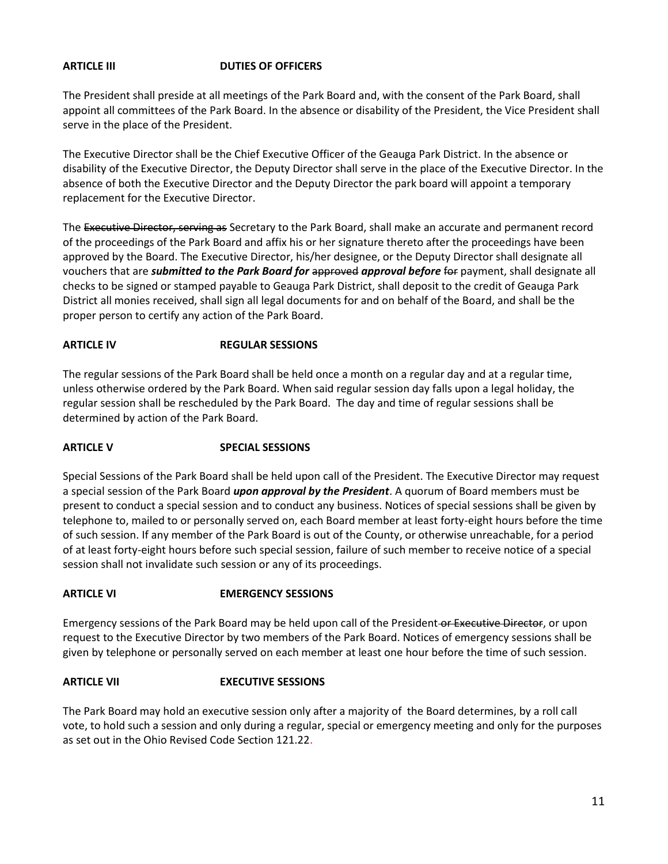# **ARTICLE III DUTIES OF OFFICERS**

The President shall preside at all meetings of the Park Board and, with the consent of the Park Board, shall appoint all committees of the Park Board. In the absence or disability of the President, the Vice President shall serve in the place of the President.

The Executive Director shall be the Chief Executive Officer of the Geauga Park District. In the absence or disability of the Executive Director, the Deputy Director shall serve in the place of the Executive Director. In the absence of both the Executive Director and the Deputy Director the park board will appoint a temporary replacement for the Executive Director.

The Executive Director, serving as Secretary to the Park Board, shall make an accurate and permanent record of the proceedings of the Park Board and affix his or her signature thereto after the proceedings have been approved by the Board. The Executive Director, his/her designee, or the Deputy Director shall designate all vouchers that are *submitted to the Park Board for* approved *approval before* for payment, shall designate all checks to be signed or stamped payable to Geauga Park District, shall deposit to the credit of Geauga Park District all monies received, shall sign all legal documents for and on behalf of the Board, and shall be the proper person to certify any action of the Park Board.

# **ARTICLE IV REGULAR SESSIONS**

The regular sessions of the Park Board shall be held once a month on a regular day and at a regular time, unless otherwise ordered by the Park Board. When said regular session day falls upon a legal holiday, the regular session shall be rescheduled by the Park Board. The day and time of regular sessions shall be determined by action of the Park Board.

### **ARTICLE V SPECIAL SESSIONS**

Special Sessions of the Park Board shall be held upon call of the President. The Executive Director may request a special session of the Park Board *upon approval by the President*. A quorum of Board members must be present to conduct a special session and to conduct any business. Notices of special sessions shall be given by telephone to, mailed to or personally served on, each Board member at least forty-eight hours before the time of such session. If any member of the Park Board is out of the County, or otherwise unreachable, for a period of at least forty-eight hours before such special session, failure of such member to receive notice of a special session shall not invalidate such session or any of its proceedings.

# **ARTICLE VI EMERGENCY SESSIONS**

Emergency sessions of the Park Board may be held upon call of the President or Executive Director, or upon request to the Executive Director by two members of the Park Board. Notices of emergency sessions shall be given by telephone or personally served on each member at least one hour before the time of such session.

# **ARTICLE VII EXECUTIVE SESSIONS**

The Park Board may hold an executive session only after a majority of the Board determines, by a roll call vote, to hold such a session and only during a regular, special or emergency meeting and only for the purposes as set out in the Ohio Revised Code Section 121.22.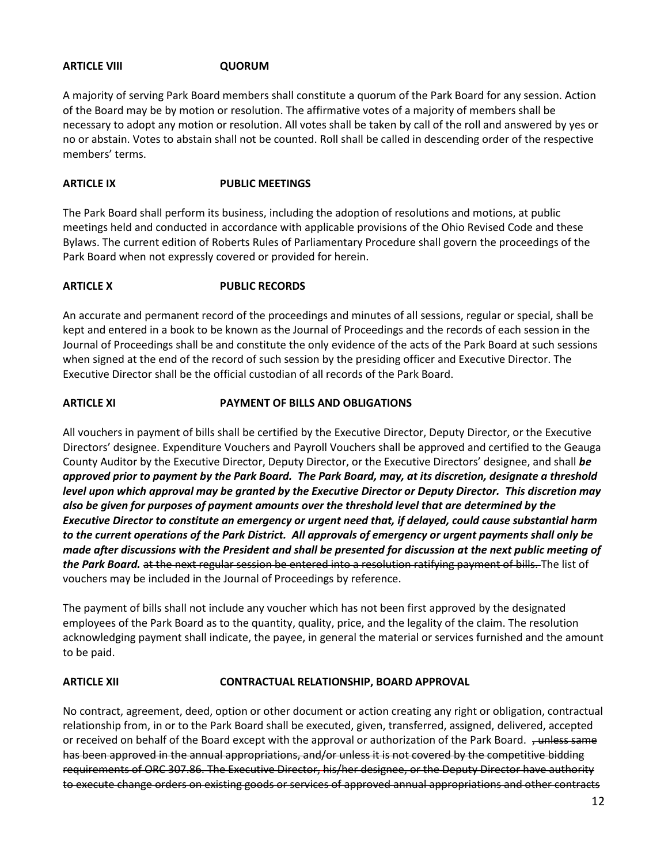## **ARTICLE VIII QUORUM**

A majority of serving Park Board members shall constitute a quorum of the Park Board for any session. Action of the Board may be by motion or resolution. The affirmative votes of a majority of members shall be necessary to adopt any motion or resolution. All votes shall be taken by call of the roll and answered by yes or no or abstain. Votes to abstain shall not be counted. Roll shall be called in descending order of the respective members' terms.

## **ARTICLE IX PUBLIC MEETINGS**

The Park Board shall perform its business, including the adoption of resolutions and motions, at public meetings held and conducted in accordance with applicable provisions of the Ohio Revised Code and these Bylaws. The current edition of Roberts Rules of Parliamentary Procedure shall govern the proceedings of the Park Board when not expressly covered or provided for herein.

## **ARTICLE X PUBLIC RECORDS**

An accurate and permanent record of the proceedings and minutes of all sessions, regular or special, shall be kept and entered in a book to be known as the Journal of Proceedings and the records of each session in the Journal of Proceedings shall be and constitute the only evidence of the acts of the Park Board at such sessions when signed at the end of the record of such session by the presiding officer and Executive Director. The Executive Director shall be the official custodian of all records of the Park Board.

## **ARTICLE XI PAYMENT OF BILLS AND OBLIGATIONS**

All vouchers in payment of bills shall be certified by the Executive Director, Deputy Director, or the Executive Directors' designee. Expenditure Vouchers and Payroll Vouchers shall be approved and certified to the Geauga County Auditor by the Executive Director, Deputy Director, or the Executive Directors' designee, and shall *be approved prior to payment by the Park Board. The Park Board, may, at its discretion, designate a threshold level upon which approval may be granted by the Executive Director or Deputy Director. This discretion may also be given for purposes of payment amounts over the threshold level that are determined by the Executive Director to constitute an emergency or urgent need that, if delayed, could cause substantial harm to the current operations of the Park District. All approvals of emergency or urgent payments shall only be made after discussions with the President and shall be presented for discussion at the next public meeting of the Park Board.* at the next regular session be entered into a resolution ratifying payment of bills. The list of vouchers may be included in the Journal of Proceedings by reference.

The payment of bills shall not include any voucher which has not been first approved by the designated employees of the Park Board as to the quantity, quality, price, and the legality of the claim. The resolution acknowledging payment shall indicate, the payee, in general the material or services furnished and the amount to be paid.

### **ARTICLE XII CONTRACTUAL RELATIONSHIP, BOARD APPROVAL**

No contract, agreement, deed, option or other document or action creating any right or obligation, contractual relationship from, in or to the Park Board shall be executed, given, transferred, assigned, delivered, accepted or received on behalf of the Board except with the approval or authorization of the Park Board. <del>, unless same</del> has been approved in the annual appropriations, and/or unless it is not covered by the competitive bidding requirements of ORC 307.86. The Executive Director, his/her designee, or the Deputy Director have authority to execute change orders on existing goods or services of approved annual appropriations and other contracts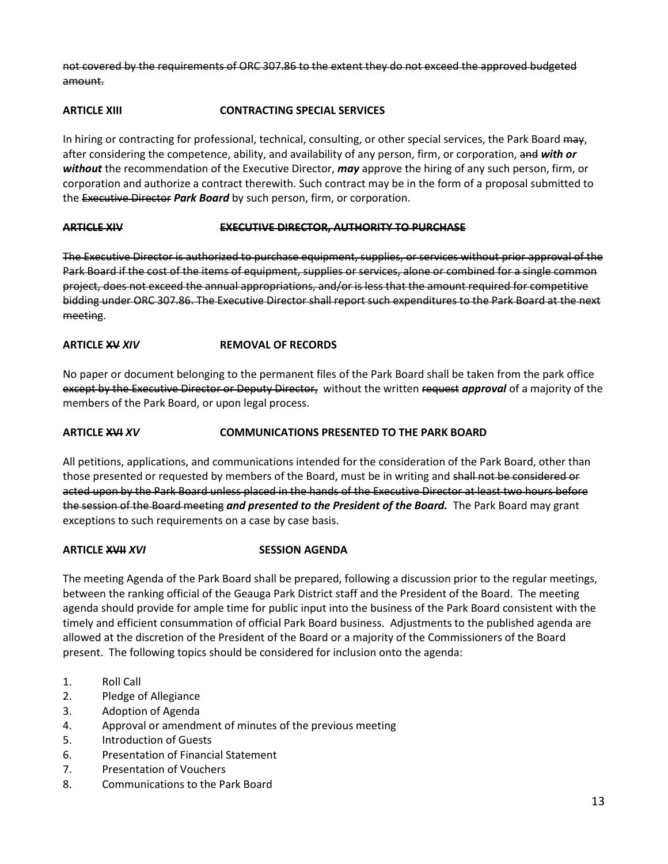not covered by the requirements of ORC 307.86 to the extent they do not exceed the approved budgeted amount.

# **ARTICLE XIII CONTRACTING SPECIAL SERVICES**

In hiring or contracting for professional, technical, consulting, or other special services, the Park Board may, after considering the competence, ability, and availability of any person, firm, or corporation, and *with or without* the recommendation of the Executive Director, *may* approve the hiring of any such person, firm, or corporation and authorize a contract therewith. Such contract may be in the form of a proposal submitted to the Executive Director *Park Board* by such person, firm, or corporation.

## **ARTICLE XIV EXECUTIVE DIRECTOR, AUTHORITY TO PURCHASE**

The Executive Director is authorized to purchase equipment, supplies, or services without prior approval of the Park Board if the cost of the items of equipment, supplies or services, alone or combined for a single common project, does not exceed the annual appropriations, and/or is less that the amount required for competitive bidding under ORC 307.86. The Executive Director shall report such expenditures to the Park Board at the next meeting.

## **ARTICLE XV** *XIV* **REMOVAL OF RECORDS**

No paper or document belonging to the permanent files of the Park Board shall be taken from the park office except by the Executive Director or Deputy Director, without the written request *approval* of a majority of the members of the Park Board, or upon legal process.

# **ARTICLE XVI** *XV* **COMMUNICATIONS PRESENTED TO THE PARK BOARD**

All petitions, applications, and communications intended for the consideration of the Park Board, other than those presented or requested by members of the Board, must be in writing and shall not be considered or acted upon by the Park Board unless placed in the hands of the Executive Director at least two hours before the session of the Board meeting *and presented to the President of the Board.* The Park Board may grant exceptions to such requirements on a case by case basis.

### **ARTICLE XVII** *XVI* **SESSION AGENDA**

The meeting Agenda of the Park Board shall be prepared, following a discussion prior to the regular meetings, between the ranking official of the Geauga Park District staff and the President of the Board. The meeting agenda should provide for ample time for public input into the business of the Park Board consistent with the timely and efficient consummation of official Park Board business. Adjustments to the published agenda are allowed at the discretion of the President of the Board or a majority of the Commissioners of the Board present. The following topics should be considered for inclusion onto the agenda:

- 1. Roll Call
- 2. Pledge of Allegiance
- 3. Adoption of Agenda
- 4. Approval or amendment of minutes of the previous meeting
- 5. Introduction of Guests
- 6. Presentation of Financial Statement
- 7. Presentation of Vouchers
- 8. Communications to the Park Board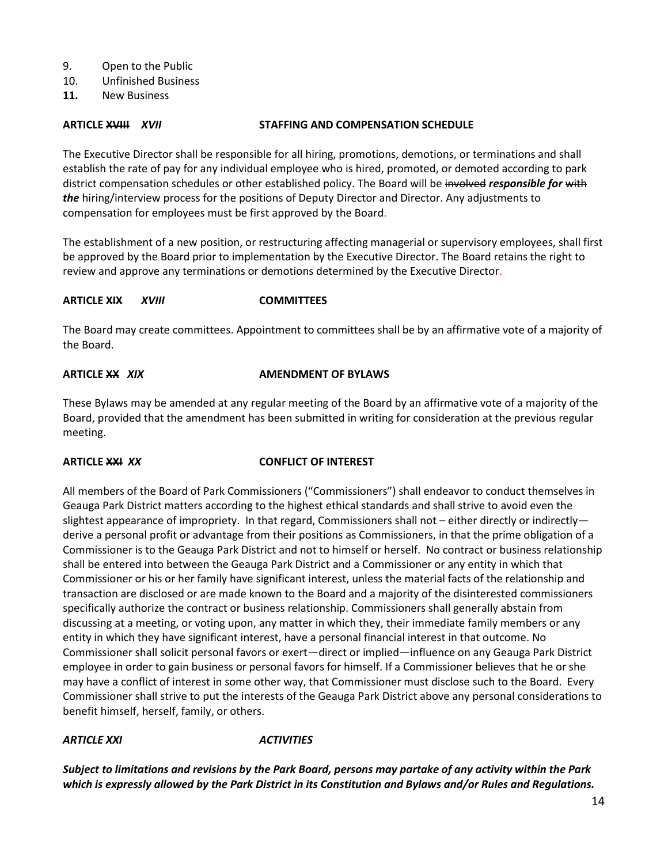- 9. Open to the Public
- 10. Unfinished Business
- **11.** New Business

### **ARTICLE XVIII** *XVII* **STAFFING AND COMPENSATION SCHEDULE**

The Executive Director shall be responsible for all hiring, promotions, demotions, or terminations and shall establish the rate of pay for any individual employee who is hired, promoted, or demoted according to park district compensation schedules or other established policy. The Board will be involved *responsible for* with *the* hiring/interview process for the positions of Deputy Director and Director. Any adjustments to compensation for employees must be first approved by the Board.

The establishment of a new position, or restructuring affecting managerial or supervisory employees, shall first be approved by the Board prior to implementation by the Executive Director. The Board retains the right to review and approve any terminations or demotions determined by the Executive Director.

## **ARTICLE XIX** *XVIII* **COMMITTEES**

The Board may create committees. Appointment to committees shall be by an affirmative vote of a majority of the Board.

# **ARTICLE XX** *XIX* **AMENDMENT OF BYLAWS**

These Bylaws may be amended at any regular meeting of the Board by an affirmative vote of a majority of the Board, provided that the amendment has been submitted in writing for consideration at the previous regular meeting.

# **ARTICLE XXI** *XX* **CONFLICT OF INTEREST**

All members of the Board of Park Commissioners ("Commissioners") shall endeavor to conduct themselves in Geauga Park District matters according to the highest ethical standards and shall strive to avoid even the slightest appearance of impropriety. In that regard, Commissioners shall not – either directly or indirectly – derive a personal profit or advantage from their positions as Commissioners, in that the prime obligation of a Commissioner is to the Geauga Park District and not to himself or herself. No contract or business relationship shall be entered into between the Geauga Park District and a Commissioner or any entity in which that Commissioner or his or her family have significant interest, unless the material facts of the relationship and transaction are disclosed or are made known to the Board and a majority of the disinterested commissioners specifically authorize the contract or business relationship. Commissioners shall generally abstain from discussing at a meeting, or voting upon, any matter in which they, their immediate family members or any entity in which they have significant interest, have a personal financial interest in that outcome. No Commissioner shall solicit personal favors or exert—direct or implied—influence on any Geauga Park District employee in order to gain business or personal favors for himself. If a Commissioner believes that he or she may have a conflict of interest in some other way, that Commissioner must disclose such to the Board. Every Commissioner shall strive to put the interests of the Geauga Park District above any personal considerations to benefit himself, herself, family, or others.

### *ARTICLE XXI ACTIVITIES*

*Subject to limitations and revisions by the Park Board, persons may partake of any activity within the Park which is expressly allowed by the Park District in its Constitution and Bylaws and/or Rules and Regulations.*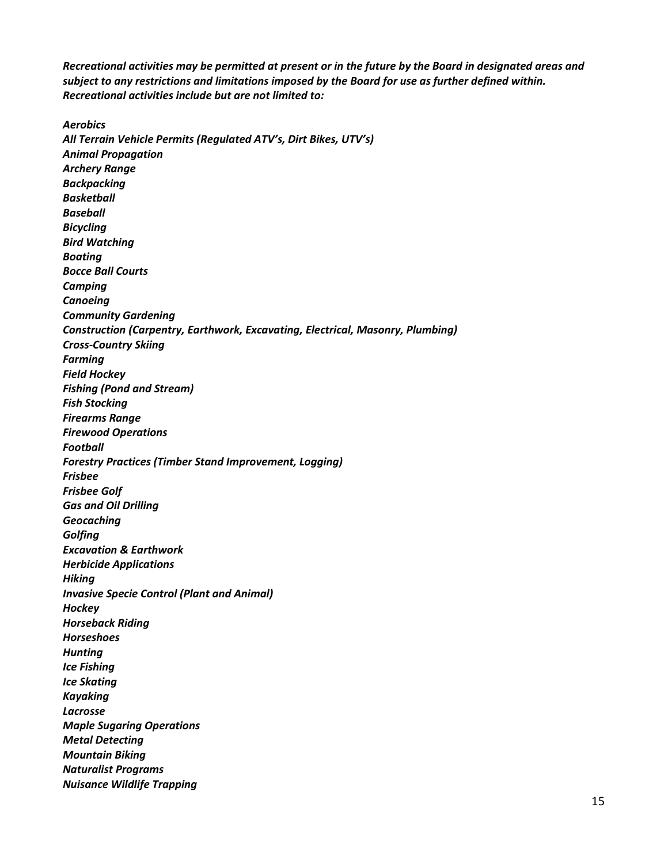*Recreational activities may be permitted at present or in the future by the Board in designated areas and subject to any restrictions and limitations imposed by the Board for use as further defined within. Recreational activities include but are not limited to:*

*Aerobics All Terrain Vehicle Permits (Regulated ATV's, Dirt Bikes, UTV's) Animal Propagation Archery Range Backpacking Basketball Baseball Bicycling Bird Watching Boating Bocce Ball Courts Camping Canoeing Community Gardening Construction (Carpentry, Earthwork, Excavating, Electrical, Masonry, Plumbing) Cross-Country Skiing Farming Field Hockey Fishing (Pond and Stream) Fish Stocking Firearms Range Firewood Operations Football Forestry Practices (Timber Stand Improvement, Logging) Frisbee Frisbee Golf Gas and Oil Drilling Geocaching Golfing Excavation & Earthwork Herbicide Applications Hiking Invasive Specie Control (Plant and Animal) Hockey Horseback Riding Horseshoes Hunting Ice Fishing Ice Skating Kayaking Lacrosse Maple Sugaring Operations Metal Detecting Mountain Biking Naturalist Programs Nuisance Wildlife Trapping*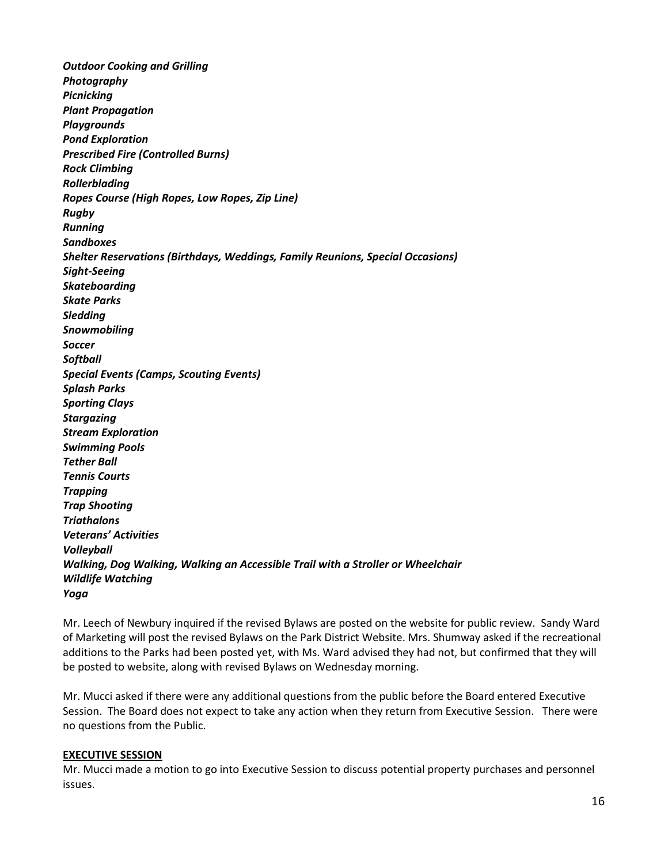*Outdoor Cooking and Grilling Photography Picnicking Plant Propagation Playgrounds Pond Exploration Prescribed Fire (Controlled Burns) Rock Climbing Rollerblading Ropes Course (High Ropes, Low Ropes, Zip Line) Rugby Running Sandboxes Shelter Reservations (Birthdays, Weddings, Family Reunions, Special Occasions) Sight-Seeing Skateboarding Skate Parks Sledding Snowmobiling Soccer Softball Special Events (Camps, Scouting Events) Splash Parks Sporting Clays Stargazing Stream Exploration Swimming Pools Tether Ball Tennis Courts Trapping Trap Shooting Triathalons Veterans' Activities Volleyball Walking, Dog Walking, Walking an Accessible Trail with a Stroller or Wheelchair Wildlife Watching Yoga*

Mr. Leech of Newbury inquired if the revised Bylaws are posted on the website for public review. Sandy Ward of Marketing will post the revised Bylaws on the Park District Website. Mrs. Shumway asked if the recreational additions to the Parks had been posted yet, with Ms. Ward advised they had not, but confirmed that they will be posted to website, along with revised Bylaws on Wednesday morning.

Mr. Mucci asked if there were any additional questions from the public before the Board entered Executive Session. The Board does not expect to take any action when they return from Executive Session. There were no questions from the Public.

#### **EXECUTIVE SESSION**

Mr. Mucci made a motion to go into Executive Session to discuss potential property purchases and personnel issues.